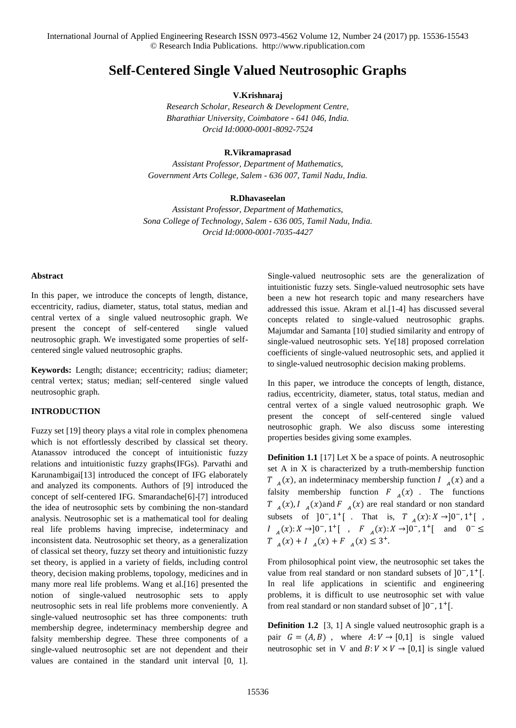# **Self-Centered Single Valued Neutrosophic Graphs**

**V.Krishnaraj**

*Research Scholar, Research & Development Centre, Bharathiar University, Coimbatore - 641 046, India. Orcid Id:0000-0001-8092-7524*

### **R.Vikramaprasad**

*Assistant Professor, Department of Mathematics, Government Arts College, Salem - 636 007, Tamil Nadu, India.*

#### **R.Dhavaseelan**

*Assistant Professor, Department of Mathematics, Sona College of Technology, Salem - 636 005, Tamil Nadu, India. Orcid Id:0000-0001-7035-4427*

#### **Abstract**

In this paper, we introduce the concepts of length, distance, eccentricity, radius, diameter, status, total status, median and central vertex of a single valued neutrosophic graph. We present the concept of self-centered single valued neutrosophic graph. We investigated some properties of selfcentered single valued neutrosophic graphs.

**Keywords:** Length; distance; eccentricity; radius; diameter; central vertex; status; median; self-centered single valued neutrosophic graph.

## **INTRODUCTION**

Fuzzy set [19] theory plays a vital role in complex phenomena which is not effortlessly described by classical set theory. Atanassov introduced the concept of intuitionistic fuzzy relations and intuitionistic fuzzy graphs(IFGs). Parvathi and Karunambigai[13] introduced the concept of IFG elaborately and analyzed its components. Authors of [9] introduced the concept of self-centered IFG. Smarandache[6]-[7] introduced the idea of neutrosophic sets by combining the non-standard analysis. Neutrosophic set is a mathematical tool for dealing real life problems having imprecise, indeterminacy and inconsistent data. Neutrosophic set theory, as a generalization of classical set theory, fuzzy set theory and intuitionistic fuzzy set theory, is applied in a variety of fields, including control theory, decision making problems, topology, medicines and in many more real life problems. Wang et al.[16] presented the notion of single-valued neutrosophic sets to apply neutrosophic sets in real life problems more conveniently. A single-valued neutrosophic set has three components: truth membership degree, indeterminacy membership degree and falsity membership degree. These three components of a single-valued neutrosophic set are not dependent and their values are contained in the standard unit interval [0, 1].

Single-valued neutrosophic sets are the generalization of intuitionistic fuzzy sets. Single-valued neutrosophic sets have been a new hot research topic and many researchers have addressed this issue. Akram et al.[1-4] has discussed several concepts related to single-valued neutrosophic graphs. Majumdar and Samanta [10] studied similarity and entropy of single-valued neutrosophic sets. Ye[18] proposed correlation coefficients of single-valued neutrosophic sets, and applied it to single-valued neutrosophic decision making problems.

In this paper, we introduce the concepts of length, distance, radius, eccentricity, diameter, status, total status, median and central vertex of a single valued neutrosophic graph. We present the concept of self-centered single valued neutrosophic graph. We also discuss some interesting properties besides giving some examples.

**Definition 1.1** [17] Let X be a space of points. A neutrosophic set A in X is characterized by a truth-membership function  $T_{A}(x)$ , an indeterminacy membership function  $I_{A}(x)$  and a falsity membership function  $F_A(x)$ . The functions  $T_{A}(x), I_{A}(x)$  and  $F_{A}(x)$  are real standard or non standard subsets of  $]0^-, 1^+]$ . That is,  $T_A(x): X \to ]0^-, 1^+]$ ,  $I_{A}(x): X \rightarrow ]0^{-}, 1^{+}[ , F_{A}(x): X \rightarrow ]0^{-}, 1^{+}[$  and  $0^{-} \leq$  $T_{A}(x) + I_{A}(x) + F_{A}(x) \leq 3^{+}.$ 

From philosophical point view, the neutrosophic set takes the value from real standard or non standard subsets of  $]0^-, 1^+]$ . In real life applications in scientific and engineering problems, it is difficult to use neutrosophic set with value from real standard or non standard subset of  $]0^-, 1^+]$ .

**Definition 1.2** [3, 1] A single valued neutrosophic graph is a pair  $G = (A, B)$ , where  $A: V \rightarrow [0, 1]$  is single valued neutrosophic set in V and  $B: V \times V \rightarrow [0,1]$  is single valued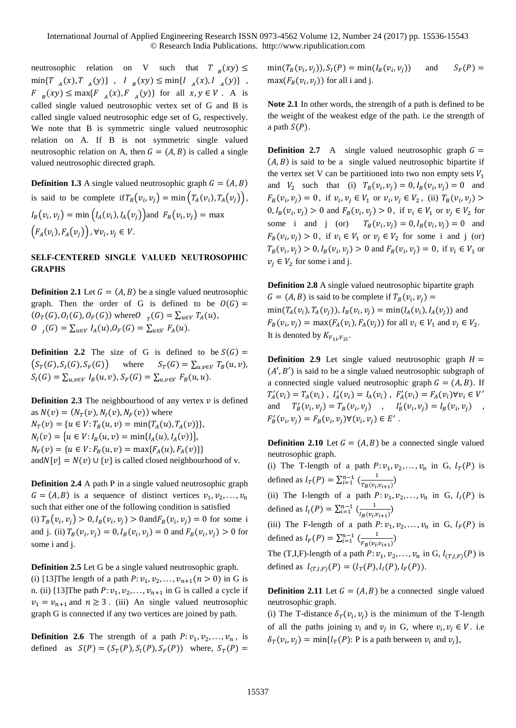neutrosophic relation on V such that  $T_B(xy) \leq$  $\min\{T_{A}(x), T_{A}(y)\}, \quad I_{B}(xy) \leq \min\{I_{A}(x), I_{A}(y)\},$  $F_{B}(xy) \le \max\{F_{A}(x), F_{A}(y)\}\$ for all  $x, y \in V$ . A is called single valued neutrosophic vertex set of G and B is called single valued neutrosophic edge set of G, respectively. We note that B is symmetric single valued neutrosophic relation on A. If B is not symmetric single valued neutrosophic relation on A, then  $G = (A, B)$  is called a single valued neutrosophic directed graph.

**Definition 1.3** A single valued neutrosophic graph  $G = (A, B)$ is said to be complete if  $T_B(v_i, v_j) = \min\left(T_A(v_i), T_A(v_j)\right)$ ,  $I_B(v_i, v_j) = \min\big(I_A(v_i), I_A(v_j)\big)$  and  $F_B(v_i, v_j) = \max$  $(F_A(v_i), F_A(v_j))$ ,  $\forall v_i, v_j \in V$ .

## **SELF-CENTERED SINGLE VALUED NEUTROSOPHIC GRAPHS**

**Definition 2.1** Let  $G = (A, B)$  be a single valued neutrosophic graph. Then the order of G is defined to be  $O(G)$  =  $(O_T(G), O_I(G), O_F(G))$  where  $O_{T}(G) = \sum_{u \in V} T_A(u)$ ,  $0_{I}(G) = \sum_{u \in V} I_A(u), 0_{F}(G) = \sum_{u \in V} F_A(u).$ 

**Definition 2.2** The size of G is defined to be  $S(G)$  =  $(S_T(G), S_I(G), S_F(G))$  where  $S_T(G) = \sum_{u,v \in V} T_B(u,v)$ ,  $S_I(G) = \sum_{u,v \in V} I_B(u,v), S_F(G) = \sum_{u,v \in V} F_B(u,u).$ 

**Definition 2.3** The neighbourhood of any vertex  $v$  is defined as  $N(v) = (N<sub>T</sub>(v), N<sub>I</sub>(v), N<sub>F</sub>(v))$  where  $N_T(v) = \{ u \in V : T_B(u, v) = \min\{T_A(u), T_A(v)\}\},\$  $N_I(v) = {u \in V : I_B(u, v) = min{I_A(u), I_A(v)}},$  $N_F(v) = \{ u \in V : F_B(u, v) = \max\{F_A(u), F_A(v)\} \}$ and  $N[v] = N(v) \cup \{v\}$  is called closed neighbourhood of v.

**Definition 2.4** A path P in a single valued neutrosophic graph  $G = (A, B)$  is a sequence of distinct vertices  $v_1, v_2, \dots, v_n$ such that either one of the following condition is satisfied (i)  $T_B(v_i, v_j) > 0, I_B(v_i, v_j) > 0$  and  $F_B(v_i, v_j) = 0$  for some i and j. (ii)  $T_B(v_i, v_j) = 0, I_B(v_i, v_j) = 0$  and  $F_B(v_i, v_j) > 0$  for some i and j.

**Definition 2.5** Let G be a single valued neutrosophic graph. (i) [13] The length of a path  $P: v_1, v_2, ..., v_{n+1}$  ( $n > 0$ ) in G is n. (ii) [13] The path  $P: v_1, v_2, \ldots, v_{n+1}$  in G is called a cycle if  $v_1 = v_{n+1}$  and  $n \ge 3$ . (iii) An single valued neutrosophic graph G is connected if any two vertices are joined by path.

**Definition 2.6** The strength of a path  $P: v_1, v_2, \ldots, v_n$ , is defined as  $S(P) = (S_T(P), S_I(P), S_F(P))$  where,  $S_T(P) =$ 

 $min(T_B(v_i, v_j)), S_I(P) = min(I_B(v_i))$ and  $S_F(P) =$  $max(F_B(v_i, v_j))$  for all i and j.

**Note 2.1** In other words, the strength of a path is defined to be the weight of the weakest edge of the path. i.e the strength of a path  $S(P)$ .

**Definition 2.7** A single valued neutrosophic graph  $G =$  $(A, B)$  is said to be a single valued neutrosophic bipartite if the vertex set V can be partitioned into two non empty sets  $V_1$ and  $V_2$  such that (i)  $T_B(v_i, v_j) = 0, I_B(v_i, v_j) = 0$  and  $F_B(v_i, v_j) = 0$ , if  $v_i, v_j \in V_1$  or  $v_i, v_j \in V_2$ , (ii)  $T_B(v_i, v_j)$  $0, I_B(v_i, v_j) > 0$  and  $F_B(v_i, v_j) > 0$ , if  $v_i \in V_1$  or  $v_j \in V_2$  for some i and j (or)  $T_B(v_i, v_j) = 0, I_B(v_i, v_j) = 0$  and  $F_B(v_i, v_j) > 0$ , if  $v_i \in V_1$  or  $v_j \in V_2$  for some i and j (or)  $T_B(v_i, v_j) > 0, I_B(v_i, v_j) > 0$  and  $F_B(v_i, v_j) = 0$ , if  $v_i \in V_1$  or  $v_j \in V_2$  for some i and j.

**Definition 2.8** A single valued neutrosophic bipartite graph  $G = (A, B)$  is said to be complete if  $T_B(v_i, v_j) =$  $min(T_A(v_i), T_A(v_j)), I_B(v_i, v_j) = min(I_A(v_i), I_A(v_j))$  and  $F_B(v_i, v_j) = \max(F_A(v_i), F_A(v_j))$  for all  $v_i \in V_1$  and  $v_j \in V_2$ . It is denoted by  $K_{V_{1i},V_{2i}}$ .

**Definition 2.9** Let single valued neutrosophic graph  $H =$  $(A', B')$  is said to be a single valued neutrosophic subgraph of a connected single valued neutrosophic graph  $G = (A, B)$ . If  $T_A'(v_i) = T_A(v_i)$ ,  $I_A'(v_i) = I_A(v_i)$ ,  $F_A'(v_i) = F_A(v_i) \forall v_i \in V'$ and  $T'_{B}(v_{i}, v_{j}) = T_{B}(v_{i}, v_{j})$ ,  $I'_{B}(v_{i}, v_{j}) = I_{B}(v_{i}, v_{j})$ ,  $F'_B(v_i, v_j) = F_B(v_i, v_j) \forall (v_i, v_j) \in E'$ .

**Definition 2.10** Let  $G = (A, B)$  be a connected single valued neutrosophic graph.

(i) The T-length of a path  $P: v_1, v_2, \ldots, v_n$  in G,  $l_T(P)$  is defined as  $l_T(P) = \sum_{i=1}^{n-1} \left( \frac{1}{T_P(p_i)} \right)$  $\frac{1}{T_B(v_i, v_{i+1})}$ 

(ii) The I-length of a path  $P: v_1, v_2, \ldots, v_n$  in G,  $l_I(P)$  is defined as  $l_1(P) = \sum_{i=1}^{n-1} \left( \frac{1}{l_1(P+i_2)} \right)$  $\frac{1}{I_B(v_i, v_{i+1})}$ 

(iii) The F-length of a path  $P: v_1, v_2, \ldots, v_n$  in G,  $l_F(P)$  is defined as  $l_F(P) = \sum_{i=1}^{n-1} \left( \frac{1}{E_P(p_i)} \right)$  $\frac{1}{F_B(v_i,v_{i+1})}$ 

The (T,I,F)-length of a path  $P: v_1, v_2, \ldots, v_n$  in G,  $l_{(T,I,F)}(P)$  is defined as  $l_{(T,I,F)}(P) = (l_T(P), l_I(P), l_F(P)).$ 

**Definition 2.11** Let  $G = (A, B)$  be a connected single valued neutrosophic graph.

(i) The T-distance  $\delta_T(v_i, v_j)$  is the minimum of the T-length of all the paths joining  $v_i$  and  $v_j$  in G, where  $v_i$ ,  $v_j \in V$ . i.e  $\delta_T(v_i, v_j) = \min\{l_T(P): \text{P is a path between } v_i \text{ and } v_j\},\$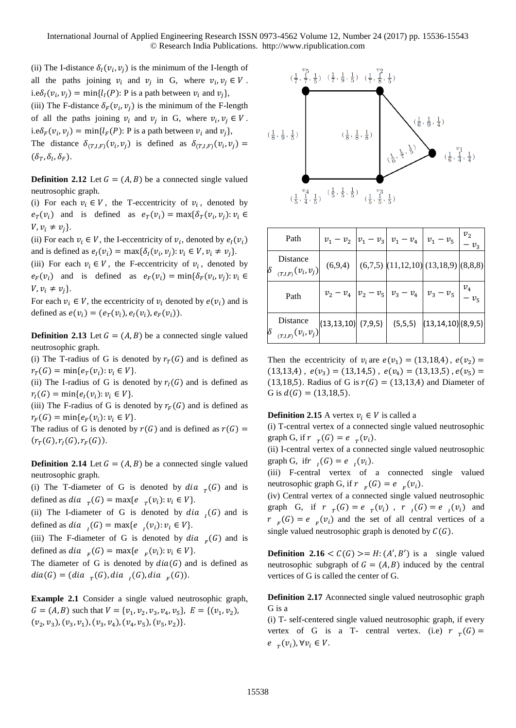(ii) The I-distance  $\delta_l(v_i, v_j)$  is the minimum of the I-length of all the paths joining  $v_i$  and  $v_j$  in G, where  $v_i, v_j \in V$ . i.e $\delta_l(v_i, v_j) = \min\{l_l(P) : P \text{ is a path between } v_i \text{ and } v_j\},\$ 

(iii) The F-distance  $\delta_F(v_i, v_j)$  is the minimum of the F-length of all the paths joining  $v_i$  and  $v_j$  in G, where  $v_i, v_j \in V$ . i.e $\delta_F(v_i, v_j) = \min\{l_F(P) : P \text{ is a path between } v_i \text{ and } v_j\},\$ 

The distance  $\delta_{(T,I,F)}(v_i, v_j)$  is defined as  $\delta_{(T,I,F)}(v_i, v_j) =$  $(\delta_T, \delta_I, \delta_F)$ .

**Definition 2.12** Let  $G = (A, B)$  be a connected single valued neutrosophic graph.

(i) For each  $v_i \in V$ , the T-eccentricity of  $v_i$ , denoted by  $e_T(v_i)$  and is defined as  $e_T(v_i) = \max{\delta_T(v_i, v_j)}$ :  $v_i \in$  $V, v_i \neq v_j$ .

(ii) For each  $v_i \in V$ , the I-eccentricity of  $v_i$ , denoted by  $e_i(v_i)$ and is defined as  $e_i(v_i) = \max{\{\delta_i(v_i, v_j): v_i \in V, v_i \neq v_j\}}$ .

(iii) For each  $v_i \in V$ , the F-eccentricity of  $v_i$ , denoted by  $e_F(v_i)$  and is defined as  $e_F(v_i) = \min{\delta_F(v_i, v_j)}$ :  $v_i \in$  $V, v_i \neq v_j$ .

For each  $v_i \in V$ , the eccentricity of  $v_i$  denoted by  $e(v_i)$  and is defined as  $e(v_i) = (e_T(v_i), e_I(v_i), e_F(v_i)).$ 

**Definition 2.13** Let  $G = (A, B)$  be a connected single valued neutrosophic graph.

(i) The T-radius of G is denoted by  $r_T(G)$  and is defined as  $r_T(G) = \min\{e_T(v_i): v_i \in V\}.$ 

(ii) The I-radius of G is denoted by  $r_I(G)$  and is defined as  $r_I(G) = \min\{e_I(v_i): v_i \in V\}.$ 

(iii) The F-radius of G is denoted by  $r_F(G)$  and is defined as  $r_F(G) = \min\{e_F(v_i): v_i \in V\}.$ 

The radius of G is denoted by  $r(G)$  and is defined as  $r(G)$  =  $(r_T(G), r_I(G), r_F(G)).$ 

**Definition 2.14** Let  $G = (A, B)$  be a connected single valued neutrosophic graph.

(i) The T-diameter of G is denoted by  $dia_{T}(G)$  and is defined as *dia*  $_{T}(G) = \max\{e \mid_{T}(v_{i}) : v_{i} \in V\}.$ 

(ii) The I-diameter of G is denoted by  $dia_{I}(G)$  and is defined as  $dia_{I}(G) = max\{e_{I}(v_{i}): v_{i} \in V\}.$ 

(iii) The F-diameter of G is denoted by  $dia_{F}(G)$  and is defined as  $dia_{F}(G) = max\{e_{F}(v_{i}): v_{i} \in V\}.$ 

The diameter of G is denoted by  $dia(G)$  and is defined as  $dia(G) = (dia_{T}(G), dia_{I}(G), dia_{F}(G)).$ 

**Example 2.1** Consider a single valued neutrosophic graph,  $G = (A, B)$  such that  $V = \{v_1, v_2, v_3, v_4, v_5\}, E = \{(v_1, v_2),$  $(v_2, v_3), (v_3, v_1), (v_3, v_4), (v_4, v_5), (v_5, v_2)\}.$ 



|   | Path                                               |                                                 | $v_1 - v_2$ $ v_1 - v_3 $ $v_1 - v_4$ $ v_1 - v_5 $                                                                           |  |
|---|----------------------------------------------------|-------------------------------------------------|-------------------------------------------------------------------------------------------------------------------------------|--|
| δ | Distance<br>$_{\left( T,I,F\right) }(v_{i},v_{j})$ |                                                 | $(6,9,4)$ $(6,7,5)$ $(11,12,10)$ $(13,18,9)$ $(8,8,8)$                                                                        |  |
|   | Path                                               |                                                 | $\overline{v_2 - v_4}$ $\overline{v_2 - v_5}$ $\overline{v_3 - v_4}$ $\overline{v_3 - v_5}$ $\overline{v_4}$ $\overline{v_5}$ |  |
|   | Distance<br>$_{(T,I,F)}(v_i,v_j)$                  | $(13,13,10)$ (7,9,5) (5,5,5) (13,14,10) (8,9,5) |                                                                                                                               |  |

Then the eccentricity of  $v_i$  are  $e(v_1) = (13,18,4)$ ,  $e(v_2) =$  $(13,13,4)$ ,  $e(v_3) = (13,14,5)$ ,  $e(v_4) = (13,13,5)$ ,  $e(v_5) =$ (13,18,5). Radius of G is  $r(G) = (13,13,4)$  and Diameter of G is  $d(G) = (13, 18, 5)$ .

#### **Definition 2.15** A vertex  $v_i \in V$  is called a

(i) T-central vertex of a connected single valued neutrosophic graph G, if  $r_{T}(G) = e_{T}(v_i)$ .

(ii) I-central vertex of a connected single valued neutrosophic graph G, if  $r_i(G) = e_i(v_i)$ .

(iii) F-central vertex of a connected single valued neutrosophic graph G, if  $r_{F}(G) = e_{F}(v_{i}).$ 

(iv) Central vertex of a connected single valued neutrosophic graph G, if  $r_{T}(G) = e_{T}(v_i)$ ,  $r_{I}(G) = e_{I}(v_i)$  and  $r_{F}(G) = e_{F}(v_{i})$  and the set of all central vertices of a single valued neutrosophic graph is denoted by  $C(G)$ .

**Definition 2.16**  $\langle C(G) \rangle = H: (A', B')$  is a single valued neutrosophic subgraph of  $G = (A, B)$  induced by the central vertices of G is called the center of G.

**Definition 2.17** Aconnected single valued neutrosophic graph G is a

(i) T- self-centered single valued neutrosophic graph, if every vertex of G is a T- central vertex. (i.e)  $r_{T}(G) =$  $e_{T}(v_i), \forall v_i \in V.$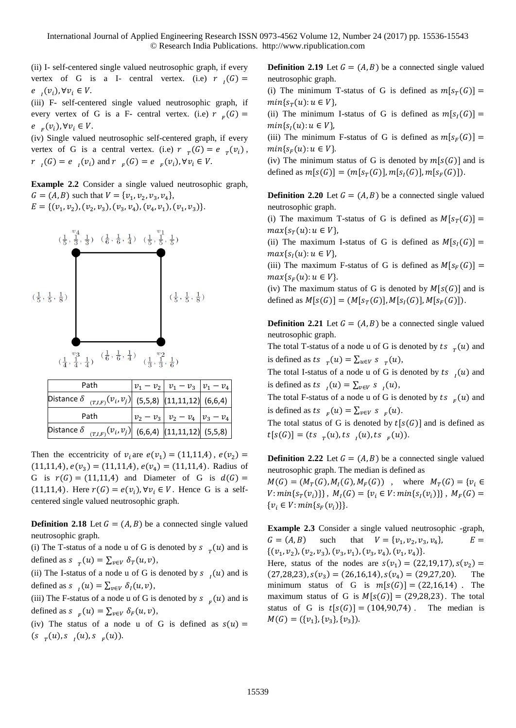(ii) I- self-centered single valued neutrosophic graph, if every vertex of G is a I- central vertex. (i.e)  $r_i(G) =$  $e_{i}(v_{i}), \forall v_{i} \in V.$ 

(iii) F- self-centered single valued neutrosophic graph, if every vertex of G is a F- central vertex. (i.e)  $r_{F}(G) =$  $e_{F}(v_{i}), \forall v_{i} \in V.$ 

(iv) Single valued neutrosophic self-centered graph, if every vertex of G is a central vertex. (i.e)  $r_{T}(G) = e_{T}(v_{i}),$  $r_{i}(G) = e_{i}(v_{i})$  and  $r_{i}(G) = e_{i}(v_{i}), \forall v_{i} \in V$ .

**Example 2.2** Consider a single valued neutrosophic graph,  $G = (A, B)$  such that  $V = \{v_1, v_2, v_3, v_4\},\$  $E = \{ (v_1, v_2), (v_2, v_3), (v_3, v_4), (v_4, v_1), (v_1, v_3) \}.$ 



| Path                                                             | $v_1 - v_2$ $v_1 - v_3$ $v_1 - v_4$ |  |
|------------------------------------------------------------------|-------------------------------------|--|
| Distance $\delta_{(T,I,F)}(v_i, v_j)$ (5,5,8) (11,11,12) (6,6,4) |                                     |  |
| Path                                                             | $ v_2 - v_3  v_2 - v_4   v_3 - v_4$ |  |
| Distance $\delta_{(T,I,F)}(v_i, v_j)$ (6,6,4) (11,11,12) (5,5,8) |                                     |  |

Then the eccentricity of  $v_i$  are  $e(v_1) = (11,11,4)$ ,  $e(v_2) =$  $(11,11,4), e(v_3) = (11,11,4), e(v_4) = (11,11,4).$  Radius of G is  $r(G) = (11,11,4)$  and Diameter of G is  $d(G) =$ (11,11,4). Here  $r(G) = e(v_i)$ ,  $\forall v_i \in V$ . Hence G is a selfcentered single valued neutrosophic graph.

**Definition 2.18** Let  $G = (A, B)$  be a connected single valued neutrosophic graph.

(i) The T-status of a node u of G is denoted by  $s_{T}(u)$  and is defined as  $s_{T}(u) = \sum_{v \in V} \delta_{T}(u, v),$ 

(ii) The I-status of a node u of G is denoted by  $s_{l}(u)$  and is defined as  $s_{l}(u) = \sum_{v \in V} \delta_{l}(u, v)$ ,

(iii) The F-status of a node u of G is denoted by  $s_{F}(u)$  and is defined as  $s_{F}(u) = \sum_{v \in V} \delta_{F}(u, v),$ 

(iv) The status of a node u of G is defined as  $s(u)$  =  $(s_{r}(u), s_{l}(u), s_{r}(u))$ .

**Definition 2.19** Let  $G = (A, B)$  be a connected single valued neutrosophic graph.

(i) The minimum T-status of G is defined as  $m[s_T(G)] =$  $min\{s_T(u): u \in V\},\$ 

(ii) The minimum I-status of G is defined as  $m[s_i(G)] =$  $min\{s_i(u): u \in V\},\$ 

(iii) The minimum F-status of G is defined as  $m[s_F(G)] =$  $min{S_F(u): u \in V}$ .

(iv) The minimum status of G is denoted by  $m[s(G)]$  and is defined as  $m[s(G)] = (m[s_T(G)], m[s_I(G)], m[s_F(G)]).$ 

**Definition 2.20** Let  $G = (A, B)$  be a connected single valued neutrosophic graph.

(i) The maximum T-status of G is defined as  $M[s_T(G)] =$  $max{s_T(u): u \in V},$ 

(ii) The maximum I-status of G is defined as  $M[s_i(G)] =$  $max{s_{I}(u): u \in V},$ 

(iii) The maximum F-status of G is defined as  $M[s_F(G)] =$  $max{s_F(u): u \in V}.$ 

(iv) The maximum status of G is denoted by  $M[s(G)]$  and is defined as  $M[s(G)] = (M[s_T(G)], M[s_T(G)], M[s_F(G)]).$ 

**Definition 2.21** Let  $G = (A, B)$  be a connected single valued neutrosophic graph.

The total T-status of a node u of G is denoted by ts  $_{T}(u)$  and is defined as ts  $_T(u) = \sum_{u \in V} s_{T}(u)$ ,

The total I-status of a node u of G is denoted by ts  $\iota_i(u)$  and is defined as ts  $\iota_l(u) = \sum_{v \in V} s \iota_l(u)$ ,

The total F-status of a node u of G is denoted by ts  $_{F}(u)$  and is defined as ts  $_{F}(u) = \sum_{v \in V} s_{F}(u)$ .

The total status of G is denoted by  $t[s(G)]$  and is defined as  $t[s(G)] = (ts_{T}(u), ts_{I}(u), ts_{F}(u)).$ 

**Definition 2.22** Let  $G = (A, B)$  be a connected single valued neutrosophic graph. The median is defined as

 $M(G) = (M_T(G), M_I(G), M_F(G))$ , where  $M_T(G) = \{v_i \in$  $V: min\{s_T(v_i)\}\}\,$ ,  $M_I(G) = \{v_i \in V: min\{s_I(v_i)\}\}\,$ ,  $M_F(G) =$  $\{v_i \in V : min\{s_F(v_i)\}\}.$ 

**Example 2.3** Consider a single valued neutrosophic -graph,  $G = (A, B)$  such ,  $v_2$ ,  $v_3$ ,  $v_4$  $E =$  $\{(v_1, v_2), (v_2, v_3), (v_3, v_1), (v_3, v_4), (v_1, v_4)\}.$ 

Here, status of the nodes are  $s(v_1) = (22, 19, 17), s(v_2) =$  $(27,28,23), s(v_3) = (26,16,14), s(v_4) = (29,27,20).$  The minimum status of G is  $m[s(G)] = (22,16,14)$ . The maximum status of G is  $M[s(G)] = (29,28,23)$ . The total status of G is  $t[s(G)] = (104,90,74)$ . The median is  $M(G) = (\{v_1\}, \{v_3\}, \{v_3\}).$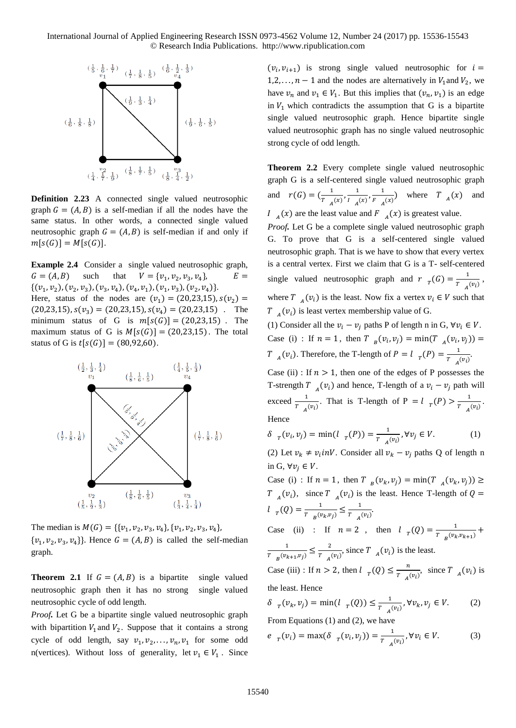

**Definition 2.23** A connected single valued neutrosophic graph  $G = (A, B)$  is a self-median if all the nodes have the same status. In other words, a connected single valued neutrosophic graph  $G = (A, B)$  is self-median if and only if  $m[s(G)] = M[s(G)].$ 

**Example 2.4** Consider a single valued neutrosophic graph,  $G = (A, B)$  such that ,  $v_2$ ,  $v_3$ ,  $v_4$  $E =$  $\{(v_1, v_2), (v_2, v_3), (v_3, v_4), (v_4, v_1), (v_1, v_3), (v_2, v_4)\}.$ Here, status of the nodes are  $(v_1) = (20,23,15)$ ,  $s(v_2) =$  $(20,23,15)$ ,  $s(v_3) = (20,23,15)$ ,  $s(v_4) = (20,23,15)$ . The minimum status of G is  $m[s(G)] = (20,23,15)$ . The maximum status of G is  $M[s(G)] = (20,23,15)$ . The total status of G is  $t[s(G)] = (80, 92, 60)$ .



The median is  $M(G) = \{\{v_1, v_2, v_3, v_4\}, \{v_1, v_2, v_3, v_4\},\}$  $\{v_1, v_2, v_3, v_4\}$ . Hence  $G = (A, B)$  is called the self-median graph.

**Theorem 2.1** If  $G = (A, B)$  is a bipartite single valued neutrosophic graph then it has no strong single valued neutrosophic cycle of odd length.

*Proof.* Let G be a bipartite single valued neutrosophic graph with bipartition  $V_1$  and  $V_2$ . Suppose that it contains a strong cycle of odd length, say  $v_1, v_2, \ldots, v_n, v_1$  for some odd n(vertices). Without loss of generality, let  $v_1 \in V_1$ . Since

 $(v_i, v_{i+1})$  is strong single valued neutrosophic for  $i =$ 1,2, ...,  $n-1$  and the nodes are alternatively in  $V_1$  and  $V_2$ , we have  $v_n$  and  $v_1 \in V_1$ . But this implies that  $(v_n, v_1)$  is an edge in  $V_1$  which contradicts the assumption that G is a bipartite single valued neutrosophic graph. Hence bipartite single valued neutrosophic graph has no single valued neutrosophic strong cycle of odd length.

**Theorem 2.2** Every complete single valued neutrosophic graph G is a self-centered single valued neutrosophic graph and  $r(G) = \left(\frac{1}{T}\right)$  $\frac{1}{T_A(x)}$ ,  $\frac{1}{I_A(x)}$  $\frac{1}{I \left(A\right)^{I}}$ ,  $\frac{1}{F \left(A\right)^{I}}$  $\frac{1}{F_{A}(x)}$  where  $T_{A}(x)$  and  $I_{A}(x)$  are the least value and  $F_{A}(x)$  is greatest value.

*Proof.* Let G be a complete single valued neutrosophic graph G. To prove that G is a self-centered single valued neutrosophic graph. That is we have to show that every vertex is a central vertex. First we claim that G is a T- self-centered single valued neutrosophic graph and  $r_{T}(G) = \frac{1}{T}$  $\frac{1}{T}$   $\frac{1}{A}(v_i)$ , where  $T_{A}(v_i)$  is the least. Now fix a vertex  $v_i \in V$  such that  $T_{A}(v_i)$  is least vertex membership value of G.

(1) Consider all the  $v_i - v_j$  paths P of length n in G,  $\forall v_i \in V$ . Case (i) : If  $n = 1$ , then  $T_{B}(v_i, v_j) = \min(T_{A}(v_i, v_j)) =$  $T_{A}(v_{i})$ . Therefore, the T-length of  $P = l_{T}(P) = \frac{1}{T}$  $\frac{1}{T_A(v_i)}$ .

Case (ii) : If  $n > 1$ , then one of the edges of P possesses the T-strength  $T_{A}(v_i)$  and hence, T-length of a  $v_i - v_j$  path will exceed  $\frac{1}{T_{A}(v_i)}$ . That is T-length of P =  $l_{T}(P) > \frac{1}{T_{A}}$  $\frac{1}{T_A(v_i)}$ . Hence

$$
\delta_{T}(v_i, v_j) = \min(l_{T}(P)) = \frac{1}{T_{A}(v_i)}, \forall v_j \in V.
$$
 (1)

(2) Let  $v_k \neq v_i$  *inV*. Consider all  $v_k - v_j$  paths Q of length n in G,  $\forall v_j \in V$ .

Case (i) : If  $n = 1$ , then  $T_{B}(v_k, v_j) = \min(T_{A}(v_k, v_j)) \ge$  $T_{A}(v_i)$ , since  $T_{A}(v_i)$  is the least. Hence T-length of  $Q =$  $l_{T}(Q) = \frac{1}{T_{(1)}}$  $\frac{1}{T_{B}(v_k, v_j)} \leq \frac{1}{T_{A}}$  $\frac{1}{T_A(v_i)}$ Case (ii) : If  $n=2$ , then  $l_T(Q) = \frac{1}{T-(p_L)}$  $\frac{1}{T_{B}(v_k,v_{k+1})} +$ 1  $\frac{1}{T_{B}(v_{k+1}, v_j)} \leq \frac{2}{T_{A}}$  $\frac{2}{T_{A}(v_i)}$ , since  $T_{A}(v_i)$  is the least.

Case (iii) : If  $n > 2$ , then  $l_{T}(Q) \leq \frac{n}{T}$  $\frac{n}{T_{A}(v_i)},$  since  $T_{A}(v_i)$  is the least. Hence

$$
\delta_{\tau}(v_k,v_j)=\min(l_{\tau}(Q))\leq \tfrac{1}{T_{A}(v_i)}, \forall v_k,v_j\in V. \hspace{1cm} (2)
$$

From Equations (1) and (2), we have

$$
e_{T}(v_i) = \max(\delta_{T}(v_i, v_j)) = \frac{1}{T_{A}(v_i)}, \forall v_i \in V.
$$
 (3)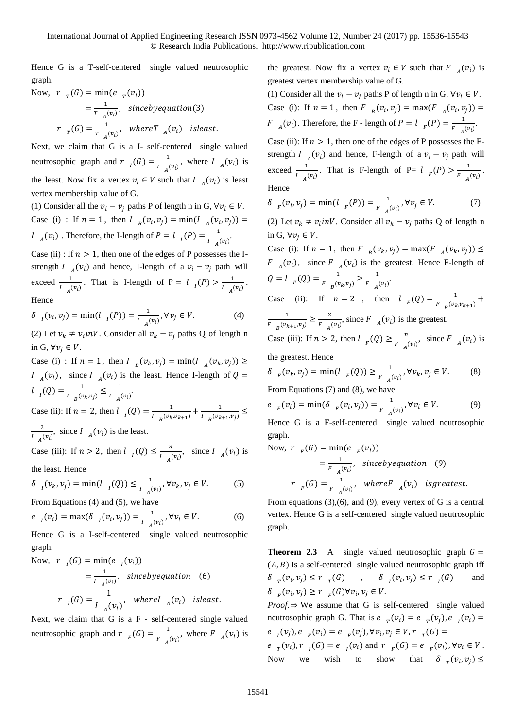Hence G is a T-self-centered single valued neutrosophic graph.

Now, 
$$
r_T(G) = \min(e_T(v_i))
$$
  
\n $= \frac{1}{T_A(v_i)},$  since by equation (3)  
\n $r_T(G) = \frac{1}{T_A(v_i)},$  where  $T_A(v_i)$  is least.

Next, we claim that G is a I- self-centered single valued neutrosophic graph and  $r_{l}(G) = \frac{1}{l_{l-1}}$  $\frac{1}{I_{A}(v_i)}$ , where  $I_{A}(v_i)$  is the least. Now fix a vertex  $v_i \in V$  such that  $I_{A}(v_i)$  is least vertex membership value of G.

(1) Consider all the  $v_i - v_i$  paths P of length n in G,  $\forall v_i \in V$ . Case (i) : If  $n = 1$ , then  $I_{B}(v_i, v_j) = \min(I_{A}(v_i, v_j)) =$  $I_{A}(v_{i})$ . Therefore, the I-length of  $P = I_{I}(P) = \frac{1}{I_{I}}$  $\frac{1}{I_A(v_i)}$ .

Case (ii) : If  $n > 1$ , then one of the edges of P possesses the Istrength  $I_{A}(v_i)$  and hence, I-length of a  $v_i - v_j$  path will exceed  $\frac{1}{I_A(v_i)}$ . That is I-length of P =  $\frac{1}{I_A(P)} > \frac{1}{I_A(P)}$  $\frac{1}{I_A(v_i)}$ . Hence

$$
\delta_{I}(v_{i}, v_{j}) = \min(l_{I}(P)) = \frac{1}{l_{A}(v_{i})}, \forall v_{j} \in V.
$$
 (4)

(2) Let  $v_k \neq v_i$  *inV*. Consider all  $v_k - v_j$  paths Q of length n in G,  $\forall v_i \in V$ .

Case (i) : If  $n = 1$ , then  $I_{B}(v_k, v_j) = \min(I_{A}(v_k, v_j)) \ge$  $I_{A}(v_i)$ , since  $I_{A}(v_i)$  is the least. Hence I-length of  $Q =$  $l_{I}(Q) = \frac{1}{1 - (v_{I})}$  $\frac{1}{I_{B}(v_{k}, v_{j})} \leq \frac{1}{I_{A}(v_{k}, v_{j})}$  $\frac{1}{I_A(v_i)}$ .

Case (ii): If  $n = 2$ , then  $l_{l} (Q) = \frac{1}{l_{l} (Q_{l})}$  $\frac{1}{I_{B}(v_{k},v_{k+1})} + \frac{1}{I_{B}(v_{k})}$  $\frac{1}{I_{B}(v_{k+1},v_j)} \leq$ 2  $\frac{2}{I_{A}(v_i)}$ , since  $I_{A}(v_i)$  is the least.

Case (iii): If  $n > 2$ , then  $l_1(Q) \leq \frac{n}{l_1(Q)}$  $\frac{n}{I_{A}(v_i)},$  since  $I_{A}(v_i)$  is

the least. Hence

$$
\delta_{I}(v_{k}, v_{j}) = \min(l_{I}(Q)) \le \frac{1}{l_{A}(v_{i})}, \forall v_{k}, v_{j} \in V.
$$
 (5)

From Equations (4) and (5), we have

$$
e_{l}(v_{i}) = \max(\delta_{l}(v_{i}, v_{j})) = \frac{1}{l_{A}(v_{i})}, \forall v_{i} \in V.
$$
 (6)

Hence G is a I-self-centered single valued neutrosophic graph.

Now, 
$$
r_{I}(G) = \min(e_{I}(v_{i}))
$$
  
\n
$$
= \frac{1}{I_{A}(v_{i})}, \text{ since by equation (6)}
$$
\n
$$
r_{I}(G) = \frac{1}{I_{A}(v_{i})}, \text{ where } I_{A}(v_{i}) \text{ is least.}
$$

Next, we claim that G is a F - self-centered single valued neutrosophic graph and  $r_{F}(G) = \frac{1}{F}$  $\frac{1}{F_{A}(v_i)}$ , where  $F_{A}(v_i)$  is

the greatest. Now fix a vertex  $v_i \in V$  such that  $F_{A}(v_i)$  is greatest vertex membership value of G.

(1) Consider all the  $v_i - v_i$  paths P of length n in G,  $\forall v_i \in V$ . Case (i): If  $n = 1$ , then  $F_{B}(v_{i}, v_{j}) = \max(F_{A}(v_{i}, v_{j})) =$  $F_{A}(v_{i})$ . Therefore, the F - length of  $P = l_{F}(P) = \frac{1}{F_{i}}$  $\frac{1}{F_A(v_i)}$ .

Case (ii): If  $n > 1$ , then one of the edges of P possesses the Fstrength  $I_{A}(v_i)$  and hence, F-length of a  $v_i - v_j$  path will exceed  $\frac{1}{I_A(v_i)}$ . That is F-length of P=  $\frac{1}{I_A(P)} > \frac{1}{I_A(P)}$  $\frac{1}{F_A(v_i)}$ . Hence

$$
\delta_{F}(v_{i}, v_{j}) = \min(l_{F}(P)) = \frac{1}{F_{A}(v_{i})}, \forall v_{j} \in V.
$$
 (7)

(2) Let  $v_k \neq v_i$  *inV*. Consider all  $v_k - v_j$  paths Q of length n in G,  $\forall v_i \in V$ .

Case (i): If  $n = 1$ , then  $F_{B}(v_k, v_j) = \max(F_{A}(v_k, v_j)) \le$  $F_{A}(v_i)$ , since  $F_{A}(v_i)$  is the greatest. Hence F-length of  $Q = l_{F}(Q) = \frac{1}{F_{f}(Q)}$  $\frac{1}{F_{B}(v_k,v_j)} \geq \frac{1}{F_{A}}$  $\frac{1}{F_A(v_i)}$ Case (ii): If  $n = 2$ , then  $l_F(Q) = \frac{1}{F_{(p)}}$  $\frac{1}{F_{B}(v_{k},v_{k+1})} +$ 1  $\frac{1}{F_{B}(v_{k+1}, v_j)} \geq \frac{2}{F_{A}}$  $\frac{2}{F_{A}(v_i)}$ , since  $F_{A}(v_i)$  is the greatest. Case (iii): If  $n > 2$ , then  $l_{F}(Q) \geq \frac{n}{F}$  $\frac{n}{F_A(v_i)},$  since  $F_A(v_i)$  is

the greatest. Hence

$$
\delta_{F}(v_{k}, v_{j}) = \min(l_{F}(Q)) \ge \frac{1}{F_{A}(v_{i})}, \forall v_{k}, v_{j} \in V.
$$
 (8)

From Equations (7) and (8), we have

$$
e_{F}(v_{i}) = \min(\delta_{F}(v_{i}, v_{j})) = \frac{1}{F_{A}(v_{i})}, \forall v_{i} \in V.
$$
 (9)

Hence G is a F-self-centered single valued neutrosophic graph.

Now, 
$$
r_{F}(G) = \min(e_{F}(v_{i}))
$$
  
\n
$$
= \frac{1}{F_{A}(v_{i})}, \text{ since by equation (9)}
$$
\n
$$
r_{F}(G) = \frac{1}{F_{A}(v_{i})}, \text{ where } F_{A}(v_{i}) \text{ is greatest.}
$$

From equations (3),(6), and (9), every vertex of G is a central vertex. Hence G is a self-centered single valued neutrosophic graph.

**Theorem 2.3** A single valued neutrosophic graph  $G =$  $(A, B)$  is a self-centered single valued neutrosophic graph iff  $\delta_{T}(v_i, v_j) \leq r_{T}(G)$ ,  $\delta_{T}$  $(v_i, v_j) \le r$ <sub>I</sub>(G) and  $\delta_{F}(v_i, v_j) \geq r_{F}(G) \forall v_i, v_j \in V.$ 

*Proof.*⇒ We assume that G is self-centered single valued neutrosophic graph G. That is  $e_{T}(v_i) = e_{T}(v_j)$ ,  $e_{I}(v_i) =$  $e_{i}(v_{j}), e_{j}(v_{i}) = e_{j}(v_{j}), \forall v_{i}, v_{j} \in V, r_{j}(G) =$ 

 $e_{r} (v_i), r_{l} (G) = e_{l} (v_i)$  and  $r_{r} (G) = e_{r} (v_i), \forall v_i \in V$ . Now we wish to show that  $\delta_T(v_i, v_j) \leq$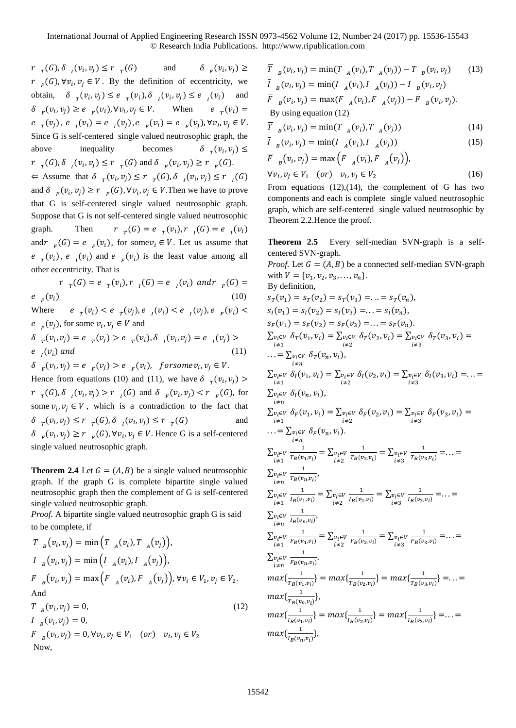$r_{T}(G), \delta_{I}(v_{i}, v_{j}) \leq r_{T}(G)$  and  $\delta_{F}$  $(v_i, v_j) \geq$  $r_{F}(G), \forall v_i, v_j \in V$ . By the definition of eccentricity, we obtain,  $\delta_{\tau}(v_i, v_j) \leq e_{\tau}(v_i), \delta_{\tau}(v_i, v_j) \leq e_{\tau}(v_i)$  and  $\delta_{F}(v_i, v_j) \ge e_{F}(v_i), \forall v_i, v_j \in V.$  When  $e_{T}$  $e_{r}(v_i) =$  $e_{r}(v_{j}), e_{l}(v_{i}) = e_{l}(v_{j}), e_{r}(v_{i}) = e_{r}(v_{j}), \forall v_{i}, v_{j} \in V.$ Since G is self-centered single valued neutrosophic graph, the above inequality becomes  $(v_i, v_j) \leq$  $r_{r}(G), \delta_{l}(v_i, v_j) \leq r_{r}(G)$  and  $\delta_{r}(v_i, v_j) \geq r_{r}(G)$ .  $\Leftarrow$  Assume that  $\delta_{r} (v_i, v_j) \le r_{r} (G), \delta_{r} (v_i, v_j) \le r_{r} (G)$ and  $\delta_{F}(v_i, v_j) \ge r_{F}(G), \forall v_i, v_j \in V$ . Then we have to prove that G is self-centered single valued neutrosophic graph. Suppose that G is not self-centered single valued neutrosophic graph. Then  $(G) = e_{T}(v_i), r_{I}(G) = e_{I}(v_i)$ and  $r_{F}(G) = e_{F}(v_{i})$ , for some  $v_{i} \in V$ . Let us assume that  $e_{r}$  ( $v_i$ ),  $e_{i}$  ( $v_i$ ) and  $e_{r}$  ( $v_i$ ) is the least value among all other eccentricity. That is

 $r_{T}(G) = e_{T}(v_i), r_{I}(G) = e_{I}(v_i)$  and  $r_{F}(G) =$  $e_{F}(v_i)$  $(v_i)$  (10)

Where  $(v_i) < e_{r}(v_j), e_{l}(v_i) < e_{l}(v_j), e_{r}(v_i) <$  $e_{F}(v_{j})$ , for some  $v_{i}, v_{j} \in V$  and

 $\delta_{T}(v_i, v_j) = e_{T}(v_j) > e_{T}(v_i), \delta_{I}(v_i, v_j) = e_{I}(v_j) >$  $e_{l}(v_{i})$  and (11)

 $\delta_{F}(v_i, v_j) = e_{F}(v_j) > e_{F}(v_i)$ , for some  $v_i, v_j \in V$ . Hence from equations (10) and (11), we have  $\delta_{T}(v_i, v_j)$  >  $r_{r}(G), \delta_{l}(v_i, v_j) > r_{l}(G)$  and  $\delta_{r}(v_i, v_j) < r_{r}(G)$ , for some  $v_i, v_j \in V$ , which is a contradiction to the fact that  $\delta_{T}(v_{i}, v_{j}) \leq r_{T}(G), \delta_{I}(v_{i}, v_{j}) \leq r_{T}(G)$  and  $\delta_{F}(v_i, v_j) \ge r_{F}(G), \forall v_i, v_j \in V.$  Hence G is a self-centered single valued neutrosophic graph.

**Theorem 2.4** Let  $G = (A, B)$  be a single valued neutrosophic graph. If the graph G is complete bipartite single valued neutrosophic graph then the complement of G is self-centered single valued neutrosophic graph.

*Proof.* A bipartite single valued neutrosophic graph G is said to be complete, if

$$
T_{B}(v_{i}, v_{j}) = \min (T_{A}(v_{i}), T_{A}(v_{j})),
$$
  
\n
$$
I_{B}(v_{i}, v_{j}) = \min (I_{A}(v_{i}), I_{A}(v_{j})),
$$
  
\n
$$
F_{B}(v_{i}, v_{j}) = \max (F_{A}(v_{i}), F_{A}(v_{j})), \forall v_{i} \in V_{1}, v_{j} \in V_{2}.
$$
  
\nAnd  
\n
$$
T_{B}(v_{i}, v_{j}) = 0,
$$
  
\n
$$
I_{B}(v_{i}, v_{j}) = 0,
$$
  
\n(12)

$$
P_{B}(v_i, v_j) = 0,
$$
  
\n
$$
F_{B}(v_i, v_j) = 0, \forall v_i, v_j \in V_1 \quad (or) \quad v_i, v_j \in V_2
$$
  
\nNow,

$$
\overline{T}_{B}(v_{i}, v_{j}) = \min(T_{A}(v_{i}), T_{A}(v_{j})) - T_{B}(v_{i}, v_{j}) \qquad (13)
$$
  
\n
$$
\overline{I}_{B}(v_{i}, v_{j}) = \min(I_{A}(v_{i}), I_{A}(v_{j})) - I_{B}(v_{i}, v_{j})
$$
  
\n
$$
\overline{F}_{B}(v_{i}, v_{j}) = \max(F_{A}(v_{i}), F_{A}(v_{j})) - F_{B}(v_{i}, v_{j}).
$$
  
\nBy using equation (12)

$$
\overline{T}_{B}(v_i, v_j) = \min(T_{A}(v_i), T_{A}(v_j))
$$
\n(14)

$$
\overline{I}_{B}(v_i, v_j) = \min(I_{A}(v_i), I_{A}(v_j))
$$
\n
$$
\overline{B}_{A}(v_j) = \left(\sum_{i=1}^{n} (v_i - v_j) \right)^{1/2}
$$
\n(15)

$$
F_{B}(v_{i}, v_{j}) = \max (F_{A}(v_{i}), F_{A}(v_{j})),
$$
  
\n
$$
\forall v_{i}, v_{j} \in V_{1} \quad (or) \quad v_{i}, v_{j} \in V_{2}
$$
 (16)

From equations  $(12),(14)$ , the complement of G has two components and each is complete single valued neutrosophic graph, which are self-centered single valued neutrosophic by

Theorem 2.2.Hence the proof.

**Theorem 2.5** Every self-median SVN-graph is a selfcentered SVN-graph.

*Proof.* Let  $G = (A, B)$  be a connected self-median SVN-graph with  $V = \{v_1, v_2, v_3, \ldots, v_n\}.$ By definition,  $s_T(v_1) = s_T(v_2) = s_T(v_3) = \ldots = s_T(v_n),$  $s_I(v_1) = s_I(v_2) = s_I(v_3) = \ldots = s_I(v_n),$  $s_F(v_1) = s_F(v_2) = s_F(v_3) = \ldots = s_F(v_n).$  $\sum_{v_i \in V} \delta_T(v_1, v_i) = \sum_{v_i \in V} \delta_T(v_2, v_i) = \sum_{v_i \in V} \delta_T(v_3, v_i) =$ ≠1 ≠2 ≠3  $\ldots = \sum v_i \in V \delta_T(v_n, v_i),$ ≠  $\sum_{v_i \in V} \delta_I(v_1, v_i) = \sum_{v_i \in V} \delta_I(v_2, v_i) = \sum_{v_i \in V} \delta_I(v_3, v_i) = \ldots =$  $i\neq 1$ ≠2 ≠3  $\sum_{v_i \in V} \delta_l(v_n, v_i),$  $i \neq n$  $\sum_{v_i \in V} \delta_F(v_1, v_i) = \sum_{v_i \in V} \delta_F(v_2, v_i) = \sum_{v_i \in V} \delta_F(v_3, v_i) =$ <br> $\frac{i \neq 1}{\sum_{i \neq 3} v_i}$  $\ldots = \sum_{v_i \in V} \delta_F(v_n, v_i).$ ≠  $\sum_{\substack{v_i\in V\\i\neq 1}}$ 1  $\frac{1}{T_B(v_1, v_i)} = \sum_{\substack{v_i \in V \\ i \neq 2}}$ 1  $\frac{1}{T_B(v_2,v_i)} = \sum_{\substack{v_i \in V \\ i \neq 3}}$ 1  $\frac{1}{T_B(v_3, v_i)} = \ldots =$  $\sum_{\substack{v_i\in V\\i\neq n}}$ 1  $\frac{1}{T_B(v_n,v_i)}$  $\sum_{\substack{v_i\in V\\i\neq 1}}$ 1  $\frac{1}{I_B(v_1,v_i)} = \sum_{\substack{v_i \in V \\ i \neq 2}}$ 1  $\frac{1}{I_B(v_2,v_i)} = \sum_{\substack{v_i \in V \\ i \neq 3}}$ 1  $\frac{1}{I_B(v_3,v_i)} = \ldots =$  $\sum_{\substack{v_i\in V\\i\neq n}}$ 1  $\frac{1}{I_B(v_n, v_i)}$  $\sum_{\substack{v_i\in V\\i\neq 1}}$ 1  $\frac{1}{F_B(v_1,v_i)} = \sum_{\substack{v_i \in V \\ i \neq 2}}$ 1  $\frac{1}{F_B(v_2,v_i)} = \sum_{\substack{v_i \in V \\ i \neq 3}}$ 1  $\frac{1}{F_B(v_3,v_i)} = \ldots =$  $\sum_{\substack{v_i\in V\\i\neq n}}$ 1  $\frac{1}{F_B(v_n, v_i)}$  $max\{\frac{1}{n}$  $\frac{1}{T_B(v_1,v_i)}\} = max\{\frac{1}{T_B(v_i)}\}$  $\frac{1}{T_B(v_2,v_i)}\} = max\{\frac{1}{T_B(v_i)}\}$  $\frac{1}{T_B(v_3,v_i)}\} = \ldots =$  $max\{\frac{1}{n}$  $\frac{1}{T_B(v_n,v_i)}\},\,$  $max\{\frac{1}{1-\epsilon}\}$  $\frac{1}{I_B(v_1,v_i)}\} = max\{\frac{1}{I_B(v_i)}\}$  $\frac{1}{I_B(v_2,v_i)}\} = max\{\frac{1}{I_B(v_i)}\}$  $\frac{1}{I_B(v_3,v_i)}\} = \ldots =$  $max\{\frac{1}{1-\epsilon}\}$  $\frac{1}{I_B(v_n, v_i)}\},\,$